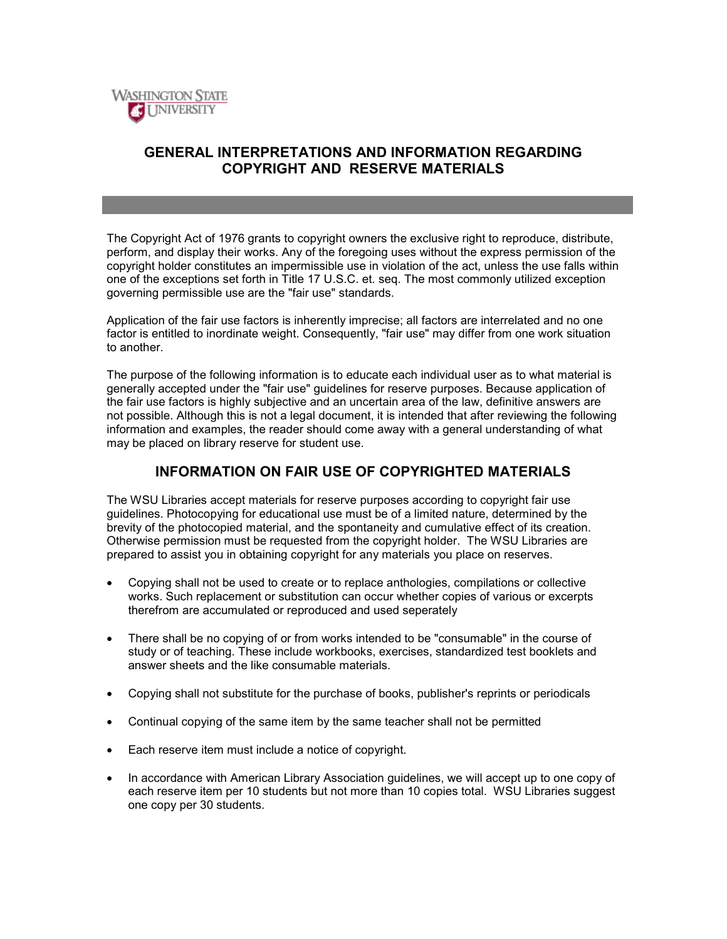

# **GENERAL INTERPRETATIONS AND INFORMATION REGARDING COPYRIGHT AND RESERVE MATERIALS**

The Copyright Act of 1976 grants to copyright owners the exclusive right to reproduce, distribute, perform, and display their works. Any of the foregoing uses without the express permission of the copyright holder constitutes an impermissible use in violation of the act, unless the use falls within one of the exceptions set forth in Title 17 U.S.C. et. seq. The most commonly utilized exception governing permissible use are the "fair use" standards.

Application of the fair use factors is inherently imprecise; all factors are interrelated and no one factor is entitled to inordinate weight. Consequently, "fair use" may differ from one work situation to another.

The purpose of the following information is to educate each individual user as to what material is generally accepted under the "fair use" guidelines for reserve purposes. Because application of the fair use factors is highly subjective and an uncertain area of the law, definitive answers are not possible. Although this is not a legal document, it is intended that after reviewing the following information and examples, the reader should come away with a general understanding of what may be placed on library reserve for student use.

# **INFORMATION ON FAIR USE OF COPYRIGHTED MATERIALS**

The WSU Libraries accept materials for reserve purposes according to copyright fair use guidelines. Photocopying for educational use must be of a limited nature, determined by the brevity of the photocopied material, and the spontaneity and cumulative effect of its creation. Otherwise permission must be requested from the copyright holder. The WSU Libraries are prepared to assist you in obtaining copyright for any materials you place on reserves.

- Copying shall not be used to create or to replace anthologies, compilations or collective works. Such replacement or substitution can occur whether copies of various or excerpts therefrom are accumulated or reproduced and used seperately
- There shall be no copying of or from works intended to be "consumable" in the course of study or of teaching. These include workbooks, exercises, standardized test booklets and answer sheets and the like consumable materials.
- Copying shall not substitute for the purchase of books, publisher's reprints or periodicals
- Continual copying of the same item by the same teacher shall not be permitted
- Each reserve item must include a notice of copyright.
- In accordance with American Library Association guidelines, we will accept up to one copy of each reserve item per 10 students but not more than 10 copies total. WSU Libraries suggest one copy per 30 students.